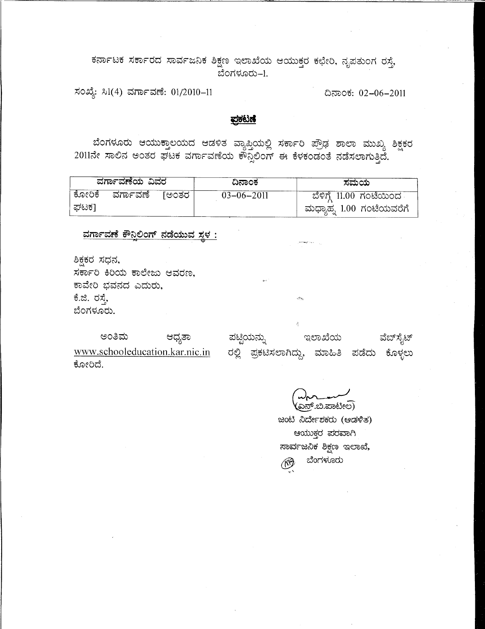ಕರ್ನಾಟಕ ಸರ್ಕಾರದ ಸಾರ್ವಜನಿಕ ಶಿಕ್ಷಣ ಇಲಾಖೆಯ ಆಯುಕ್ತರ ಕಛೇರಿ, ನೃಪತುಂಗ ರಸ್ತೆ, ಬೆಂಗಳೂರು–1.

ಸಂಖ್ಯೆ: ಸಿ1(4) ವರ್ಗಾವಣೆ: 01/2010-11

ದಿನಾಂಕ: 02-06-2011

### <u>ಪ್ರಕಟಣೆ</u>

ಬೆಂಗಳೂರು ಆಯುಕ್ತಾಲಯದ ಆಡಳಿತ ವ್ಯಾಪ್ತಿಯಲ್ಲಿ ಸರ್ಕಾರಿ ಪ್ರೌಢ ಶಾಲಾ ಮುಖ್ಯ ಶಿಕ್ಷಕರ  $2011$ ನೇ ಸಾಲಿನ ಅಂತರ ಘಟಕ ವರ್ಗಾವಣೆಯ ಕೌನ್ಸಲಿಂಗ್ ಈ ಕೆಳಕಂಡಂತೆ ನಡೆಸಲಾಗುತ್ತಿದೆ.

| ವರ್ಗಾವಣೆಯ ವಿವರ |                |  | ದಿನಾಂಕ           | ಸಮಯ                      |
|----------------|----------------|--|------------------|--------------------------|
| ಕೋರಿಕೆ         | ವರ್ಗಾವಣೆ [ಅಂತರ |  | $03 - 06 - 2011$ | ಬೆಳಿಗ್ಗೆ 11.00 ಗಂಟೆಯಿಂದ  |
| ್ರಾಟಕ1         |                |  |                  | ಮಧ್ಯಾಹ್ನ 1.00 ಗಂಟೆಯವರೆಗೆ |

<u>ವರ್ಗಾವಣೆ ಕೌನಿಲಿಂಗ್ ನಡೆಯುವ ಸ್ಥಳ :</u>

ಶಿಕ್ಷಕರ ಸಧನ, ಸರ್ಕಾರಿ ಕಿರಿಯ ಕಾಲೇಜು ಆವರಣ, ಕಾವೇರಿ ಭವನದ ಎದುರು, ಕೆ.ಜಿ. ರಸ್ತೆ, ಬೆಂಗಳೂರು.

ಪಟ್ಟಿಯನ್ನು ಅಂತಿಮ ಆಧ್ಯತಾ ಇಲಾಖೆಯ ವೆಬ್ ಸೈಟ್ www.schooleducation.kar.nic.in ರಲ್ಲಿ ಪ್ರಕಟಿಸಲಾಗಿದ್ದು, ಮಾಹಿತಿ ಪಡೆದು ಕೊಳ್ಳಲು ಕೋರಿದೆ.

ಎನ್.ಬಿ.ಪಾಟೀಲ)

ಜಂಟಿ ನಿರ್ದೇಶಕರು (ಆಡಳಿತ) ಆಯುಕ್ತರ ಪರವಾಗಿ ಸಾರ್ವಜನಿಕ ಶಿಕ್ಷಣ ಇಲಾಖೆ, ಬೆಂಗಳೂರು (19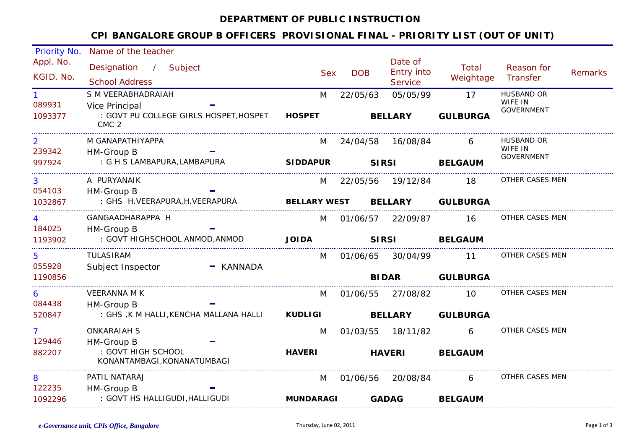#### **DEPARTMENT OF PUBLIC INSTRUCTION**

### **CPI BANGALORE GROUP B OFFICERS PROVISIONAL FINAL - PRIORITY LIST (OUT OF UNIT)**

| Priority No.           | Name of the teacher                                                          |             |                     |              |                                                |                    |                              |                |
|------------------------|------------------------------------------------------------------------------|-------------|---------------------|--------------|------------------------------------------------|--------------------|------------------------------|----------------|
| Appl. No.<br>KGID. No. | Designation / Subject<br><b>School Address</b>                               |             | <b>Sex</b>          | <b>DOB</b>   | Date of<br><b>Entry into</b><br><b>Service</b> | Total<br>Weightage | Reason for<br>Transfer       | <b>Remarks</b> |
|                        | S M VEERABHADRAIAH                                                           |             |                     |              | 05/05/99                                       | 17                 | <b>HUSBAND OR</b>            |                |
| 089931                 |                                                                              |             | M                   | 22/05/63     |                                                |                    | WIFE IN                      |                |
| 1093377                | Vice Principal<br>: GOVT PU COLLEGE GIRLS HOSPET, HOSPET<br>CMC <sub>2</sub> |             | <b>HOSPET</b>       |              | <b>BELLARY</b>                                 | <b>GULBURGA</b>    | <b>GOVERNMENT</b>            |                |
| $\overline{2}$         | M GANAPATHIYAPPA                                                             |             | M                   | 24/04/58     | 16/08/84                                       | 6                  | <b>HUSBAND OR</b>            |                |
| 239342                 | HM-Group B                                                                   |             |                     |              |                                                |                    | WIFE IN<br><b>GOVERNMENT</b> |                |
| 997924                 | : G H S LAMBAPURA, LAMBAPURA                                                 |             | <b>SIDDAPUR</b>     | <b>SIRSI</b> |                                                | <b>BELGAUM</b>     |                              |                |
| 3                      | A PURYANAIK                                                                  |             | M                   |              | 22/05/56 19/12/84                              | 18                 | OTHER CASES MEN              |                |
| 054103                 | HM-Group B                                                                   |             |                     |              |                                                |                    |                              |                |
| 1032867                | : GHS H.VEERAPURA, H. VEERAPURA                                              |             | <b>BELLARY WEST</b> |              | <b>BELLARY</b>                                 | <b>GULBURGA</b>    |                              |                |
|                        | GANGAADHARAPPA H                                                             |             | M                   | 01/06/57     | 22/09/87                                       | 16                 | OTHER CASES MEN              |                |
| 184025                 | HM-Group B                                                                   |             |                     |              |                                                |                    |                              |                |
| 1193902                | : GOVT HIGHSCHOOL ANMOD, ANMOD                                               |             | <b>JOIDA</b>        | <b>SIRSI</b> |                                                | <b>BELGAUM</b>     |                              |                |
| 5                      | <b>TULASIRAM</b>                                                             |             | M                   |              | 01/06/65 30/04/99                              | 11                 | OTHER CASES MEN              |                |
| 055928                 | Subject Inspector                                                            | $-$ KANNADA |                     |              |                                                |                    |                              |                |
| 1190856                |                                                                              |             |                     | <b>BIDAR</b> |                                                | <b>GULBURGA</b>    |                              |                |
| 6                      | <b>VEERANNA M K</b>                                                          |             | M                   | 01/06/55     | 27/08/82                                       | 10 <sup>1</sup>    | OTHER CASES MEN              |                |
| 084438                 | HM-Group B                                                                   |             |                     |              |                                                |                    |                              |                |
| 520847                 | : GHS ,K M HALLI, KENCHA MALLANA HALLI                                       |             | <b>KUDLIGI</b>      |              | <b>BELLARY</b>                                 | <b>GULBURGA</b>    |                              |                |
|                        | <b>ONKARAIAH S</b>                                                           |             | M                   | 01/03/55     | 18/11/82                                       | 6                  | OTHER CASES MEN              |                |
| 129446                 | HM-Group B                                                                   |             |                     |              |                                                |                    |                              |                |
| 882207                 | : GOVT HIGH SCHOOL<br>KONANTAMBAGI, KONANATUMBAGI                            |             | <b>HAVERI</b>       |              | <b>HAVERI</b>                                  | <b>BELGAUM</b>     |                              |                |
| 8                      | PATIL NATARAJ                                                                |             | M                   | 01/06/56     | 20/08/84                                       | 6                  | OTHER CASES MEN              |                |
| 122235                 | HM-Group B                                                                   |             |                     |              |                                                |                    |                              |                |
| 1092296                | : GOVT HS HALLIGUDI, HALLIGUDI                                               |             | <b>MUNDARAGI</b>    |              | <b>GADAG</b>                                   | <b>BELGAUM</b>     |                              |                |
|                        |                                                                              |             |                     |              |                                                |                    |                              |                |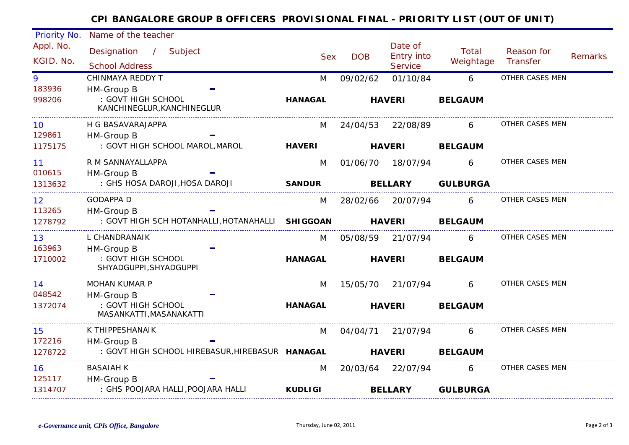# **CPI BANGALORE GROUP B OFFICERS PROVISIONAL FINAL - PRIORITY LIST (OUT OF UNIT)**

| Priority No. | Name of the teacher                              |                |                   |                              |                 |                 |                |
|--------------|--------------------------------------------------|----------------|-------------------|------------------------------|-----------------|-----------------|----------------|
| Appl. No.    | Designation / Subject                            |                |                   | Date of                      | Total           | Reason for      |                |
| KGID. No.    | <b>School Address</b>                            | <b>Sex</b>     | <b>DOB</b>        | Entry into<br><b>Service</b> | Weightage       | Transfer        | <b>Remarks</b> |
| 9            | CHINMAYA REDDY T                                 | M              | 09/02/62          | 01/10/84                     | 6               | OTHER CASES MEN |                |
| 183936       | HM-Group B                                       |                |                   |                              |                 |                 |                |
| 998206       | : GOVT HIGH SCHOOL                               | <b>HANAGAL</b> |                   | <b>HAVERI</b>                | <b>BELGAUM</b>  |                 |                |
|              | KANCHINEGLUR, KANCHINEGLUR                       |                |                   |                              |                 |                 |                |
| 10           | H G BASAVARAJAPPA                                | M              | 24/04/53 22/08/89 |                              | 6               | OTHER CASES MEN |                |
| 129861       | HM-Group B                                       |                |                   |                              |                 |                 |                |
| 1175175      | : GOVT HIGH SCHOOL MAROL, MAROL                  | <b>HAVERI</b>  | <b>HAVERI</b>     |                              | <b>BELGAUM</b>  |                 |                |
| 11           | R M SANNAYALLAPPA                                | M              |                   | 01/06/70 18/07/94            | 6               | OTHER CASES MEN |                |
| 010615       | HM-Group B                                       |                |                   |                              |                 |                 |                |
| 1313632      | : GHS HOSA DAROJI, HOSA DAROJI                   | <b>SANDUR</b>  | <b>BELLARY</b>    |                              | <b>GULBURGA</b> |                 |                |
| 12           | <b>GODAPPA D</b>                                 | M              | 28/02/66          | 20/07/94                     | 6               | OTHER CASES MEN |                |
| 113265       | HM-Group B                                       |                |                   |                              |                 |                 |                |
| 1278792      | : GOVT HIGH SCH HOTANHALLI, HOTANAHALLI SHIGGOAN |                | <b>HAVERI</b>     |                              | <b>BELGAUM</b>  |                 |                |
| 13           | L CHANDRANAIK                                    | M              | 05/08/59          | 21/07/94                     | 6               | OTHER CASES MEN |                |
| 163963       | HM-Group B                                       |                |                   |                              |                 |                 |                |
| 1710002      | : GOVT HIGH SCHOOL<br>SHYADGUPPI, SHYADGUPPI     | <b>HANAGAL</b> | <b>HAVERI</b>     |                              | <b>BELGAUM</b>  |                 |                |
| 14           | <b>MOHAN KUMAR P</b>                             | M              | 15/05/70 21/07/94 |                              | 6               | OTHER CASES MEN |                |
| 048542       | HM-Group B                                       |                |                   |                              |                 |                 |                |
| 1372074      | : GOVT HIGH SCHOOL                               | <b>HANAGAL</b> | <b>HAVERI</b>     |                              | <b>BELGAUM</b>  |                 |                |
|              | MASANKATTI, MASANAKATTI                          |                |                   |                              |                 |                 |                |
| 15           | K THIPPESHANAIK                                  | M              | 04/04/71          | 21/07/94                     | 6               | OTHER CASES MEN |                |
| 172216       | HM-Group B                                       |                |                   |                              |                 |                 |                |
| 1278722      | : GOVT HIGH SCHOOL HIREBASUR, HIREBASUR HANAGAL  |                | <b>HAVERI</b>     |                              | <b>BELGAUM</b>  |                 |                |
| 16           | <b>BASAIAH K</b>                                 | M              |                   | 20/03/64 22/07/94            | 6               | OTHER CASES MEN |                |
| 125117       | HM-Group B                                       |                |                   |                              |                 |                 |                |
| 1314707      | : GHS POOJARA HALLI, POOJARA HALLI               | <b>KUDLIGI</b> |                   | <b>BELLARY</b>               | <b>GULBURGA</b> |                 |                |